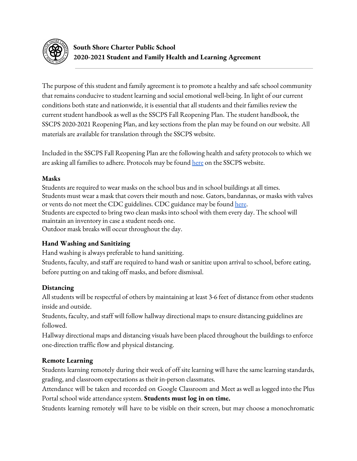

The purpose of this student and family agreement is to promote a healthy and safe school community that remains conducive to student learning and social emotional well-being. In light of our current conditions both state and nationwide, it is essential that all students and their families review the current student handbook as well as the SSCPS Fall Reopening Plan. The student handbook, the SSCPS 2020-2021 Reopening Plan, and key sections from the plan may be found on our website. All materials are available for translation through the SSCPS website.

Included in the SSCPS Fall Reopening Plan are the following health and safety protocols to which we are asking all families to ad[here](https://www.sscps.org/apps/pages/index.jsp?uREC_ID=459775&type=d&termREC_ID=&pREC_ID=870909). Protocols may be found here on the SSCPS website.

#### **Masks**

Students are required to wear masks on the school bus and in school buildings at all times. Students must wear a mask that covers their mouth and nose. Gators, bandannas, or masks with valves or vents do not meet the CDC guidelines. CDC guidance may be found [here](https://www.cdc.gov/coronavirus/2019-ncov/prevent-getting-sick/about-face-coverings.html). Students are expected to bring two clean masks into school with them every day. The school will maintain an inventory in case a student needs one. Outdoor mask breaks will occur throughout the day.

## **Hand Washing and Sanitizing**

Hand washing is always preferable to hand sanitizing.

Students, faculty, and staff are required to hand wash or sanitize upon arrival to school, before eating, before putting on and taking off masks, and before dismissal.

## **Distancing**

All students will be respectful of others by maintaining at least 3-6 feet of distance from other students inside and outside.

Students, faculty, and staff will follow hallway directional maps to ensure distancing guidelines are followed.

Hallway directional maps and distancing visuals have been placed throughout the buildings to enforce one-direction traffic flow and physical distancing.

# **Remote Learning**

Students learning remotely during their week of off site learning will have the same learning standards, grading, and classroom expectations as their in-person classmates.

Attendance will be taken and recorded on Google Classroom and Meet as well as logged into the Plus Portal school wide attendance system. **Students must log in on time.**

Students learning remotely will have to be visible on their screen, but may choose a monochromatic